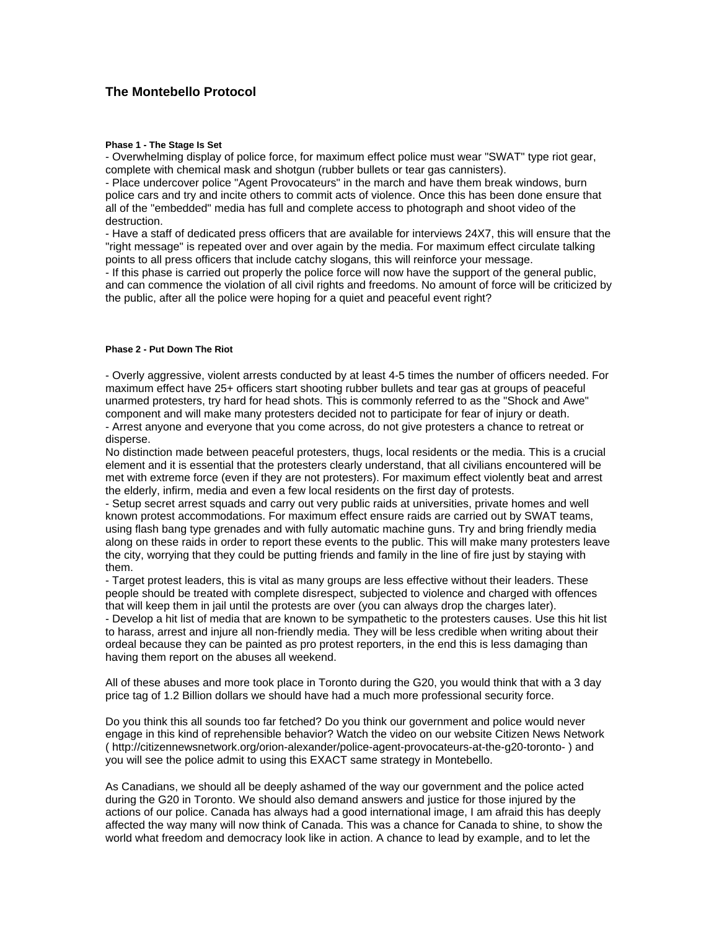## **The Montebello Protocol**

## **Phase 1 - The Stage Is Set**

- Overwhelming display of police force, for maximum effect police must wear "SWAT" type riot gear, complete with chemical mask and shotgun (rubber bullets or tear gas cannisters).

- Place undercover police "Agent Provocateurs" in the march and have them break windows, burn police cars and try and incite others to commit acts of violence. Once this has been done ensure that all of the "embedded" media has full and complete access to photograph and shoot video of the destruction.

- Have a staff of dedicated press officers that are available for interviews 24X7, this will ensure that the "right message" is repeated over and over again by the media. For maximum effect circulate talking points to all press officers that include catchy slogans, this will reinforce your message.

- If this phase is carried out properly the police force will now have the support of the general public, and can commence the violation of all civil rights and freedoms. No amount of force will be criticized by the public, after all the police were hoping for a quiet and peaceful event right?

## **Phase 2 - Put Down The Riot**

- Overly aggressive, violent arrests conducted by at least 4-5 times the number of officers needed. For maximum effect have 25+ officers start shooting rubber bullets and tear gas at groups of peaceful unarmed protesters, try hard for head shots. This is commonly referred to as the "Shock and Awe" component and will make many protesters decided not to participate for fear of injury or death. - Arrest anyone and everyone that you come across, do not give protesters a chance to retreat or disperse.

No distinction made between peaceful protesters, thugs, local residents or the media. This is a crucial element and it is essential that the protesters clearly understand, that all civilians encountered will be met with extreme force (even if they are not protesters). For maximum effect violently beat and arrest the elderly, infirm, media and even a few local residents on the first day of protests.

- Setup secret arrest squads and carry out very public raids at universities, private homes and well known protest accommodations. For maximum effect ensure raids are carried out by SWAT teams, using flash bang type grenades and with fully automatic machine guns. Try and bring friendly media along on these raids in order to report these events to the public. This will make many protesters leave the city, worrying that they could be putting friends and family in the line of fire just by staying with them.

- Target protest leaders, this is vital as many groups are less effective without their leaders. These people should be treated with complete disrespect, subjected to violence and charged with offences that will keep them in jail until the protests are over (you can always drop the charges later).

- Develop a hit list of media that are known to be sympathetic to the protesters causes. Use this hit list to harass, arrest and injure all non-friendly media. They will be less credible when writing about their ordeal because they can be painted as pro protest reporters, in the end this is less damaging than having them report on the abuses all weekend.

All of these abuses and more took place in Toronto during the G20, you would think that with a 3 day price tag of 1.2 Billion dollars we should have had a much more professional security force.

Do you think this all sounds too far fetched? Do you think our government and police would never engage in this kind of reprehensible behavior? Watch the video on our website Citizen News Network ( http://citizennewsnetwork.org/orion-alexander/police-agent-provocateurs-at-the-g20-toronto- ) and you will see the police admit to using this EXACT same strategy in Montebello.

As Canadians, we should all be deeply ashamed of the way our government and the police acted during the G20 in Toronto. We should also demand answers and justice for those injured by the actions of our police. Canada has always had a good international image, I am afraid this has deeply affected the way many will now think of Canada. This was a chance for Canada to shine, to show the world what freedom and democracy look like in action. A chance to lead by example, and to let the